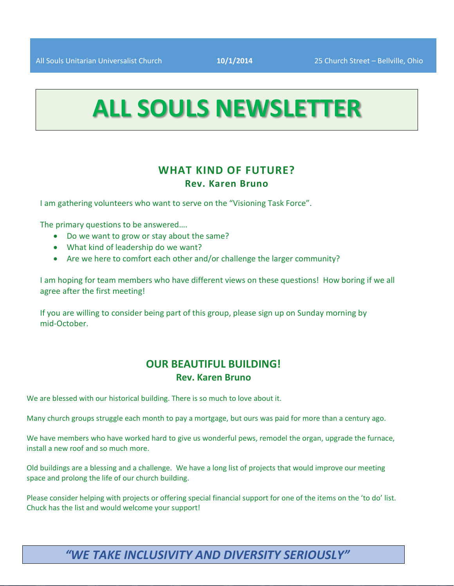# **ALL SOULS NEWSLETTER**

#### **WHAT KIND OF FUTURE? Rev. Karen Bruno**

I am gathering volunteers who want to serve on the "Visioning Task Force".

The primary questions to be answered….

- Do we want to grow or stay about the same?
- What kind of leadership do we want?
- Are we here to comfort each other and/or challenge the larger community?

I am hoping for team members who have different views on these questions! How boring if we all agree after the first meeting!

If you are willing to consider being part of this group, please sign up on Sunday morning by mid-October.

#### **OUR BEAUTIFUL BUILDING! Rev. Karen Bruno**

We are blessed with our historical building. There is so much to love about it.

Many church groups struggle each month to pay a mortgage, but ours was paid for more than a century ago.

We have members who have worked hard to give us wonderful pews, remodel the organ, upgrade the furnace, install a new roof and so much more.

Old buildings are a blessing and a challenge. We have a long list of projects that would improve our meeting space and prolong the life of our church building.

Please consider helping with projects or offering special financial support for one of the items on the 'to do' list. Chuck has the list and would welcome your support!

### *"WE TAKE INCLUSIVITY AND DIVERSITY SERIOUSLY"*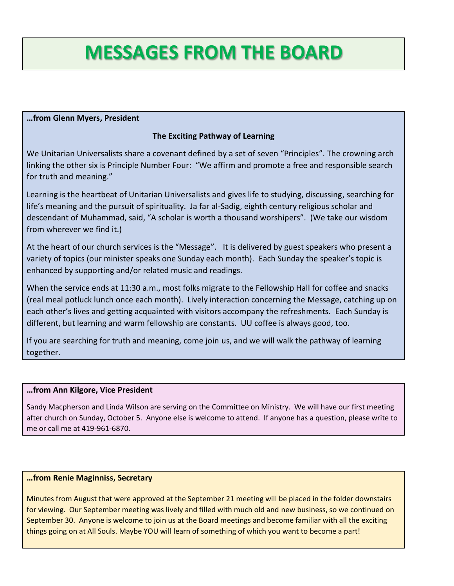## **MESSAGES FROM THE BOARD**

#### **…from Glenn Myers, President**

#### **The Exciting Pathway of Learning**

We Unitarian Universalists share a covenant defined by a set of seven "Principles". The crowning arch linking the other six is Principle Number Four: "We affirm and promote a free and responsible search for truth and meaning."

Learning is the heartbeat of Unitarian Universalists and gives life to studying, discussing, searching for life's meaning and the pursuit of spirituality. Ja far al-Sadig, eighth century religious scholar and descendant of Muhammad, said, "A scholar is worth a thousand worshipers". (We take our wisdom from wherever we find it.)

At the heart of our church services is the "Message". It is delivered by guest speakers who present a variety of topics (our minister speaks one Sunday each month). Each Sunday the speaker's topic is enhanced by supporting and/or related music and readings.

When the service ends at 11:30 a.m., most folks migrate to the Fellowship Hall for coffee and snacks (real meal potluck lunch once each month). Lively interaction concerning the Message, catching up on each other's lives and getting acquainted with visitors accompany the refreshments. Each Sunday is different, but learning and warm fellowship are constants. UU coffee is always good, too.

If you are searching for truth and meaning, come join us, and we will walk the pathway of learning together.

#### **…from Ann Kilgore, Vice President**

Sandy Macpherson and Linda Wilson are serving on the Committee on Ministry. We will have our first meeting after church on Sunday, October 5. Anyone else is welcome to attend. If anyone has a question, please write to me or call me at 419-961-6870.

#### **…from Renie Maginniss, Secretary**

Minutes from August that were approved at the September 21 meeting will be placed in the folder downstairs for viewing. Our September meeting was lively and filled with much old and new business, so we continued on September 30. Anyone is welcome to join us at the Board meetings and become familiar with all the exciting things going on at All Souls. Maybe YOU will learn of something of which you want to become a part!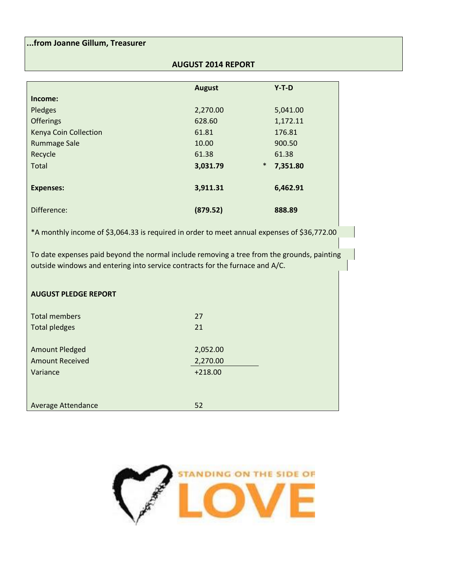#### **...from Joanne Gillum, Treasurer**

#### **AUGUST 2014 REPORT**

|                       | <b>August</b>      | $Y-T-D$  |
|-----------------------|--------------------|----------|
| Income:               |                    |          |
| Pledges               | 2,270.00           | 5,041.00 |
| <b>Offerings</b>      | 628.60             | 1,172.11 |
| Kenya Coin Collection | 61.81              | 176.81   |
| <b>Rummage Sale</b>   | 10.00              | 900.50   |
| Recycle               | 61.38              | 61.38    |
| <b>Total</b>          | $\ast$<br>3,031.79 | 7,351.80 |
|                       |                    |          |
| <b>Expenses:</b>      | 3,911.31           | 6,462.91 |
|                       |                    |          |
| Difference:           | (879.52)           | 888.89   |

\*A monthly income of \$3,064.33 is required in order to meet annual expenses of \$36,772.00

To date expenses paid beyond the normal include removing a tree from the grounds, painting outside windows and entering into service contracts for the furnace and A/C.

#### **AUGUST PLEDGE REPORT**

| <b>Total members</b><br><b>Total pledges</b> | 27<br>21  |
|----------------------------------------------|-----------|
| <b>Amount Pledged</b>                        | 2,052.00  |
| <b>Amount Received</b>                       | 2,270.00  |
| Variance                                     | $+218.00$ |
|                                              |           |
| <b>Average Attendance</b>                    | 52        |

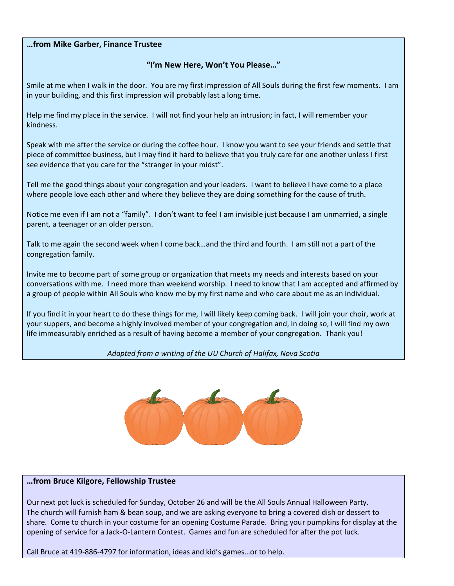#### **…from Mike Garber, Finance Trustee**

#### **"I'm New Here, Won't You Please…"**

Smile at me when I walk in the door. You are my first impression of All Souls during the first few moments. I am in your building, and this first impression will probably last a long time.

Help me find my place in the service. I will not find your help an intrusion; in fact, I will remember your kindness.

Speak with me after the service or during the coffee hour. I know you want to see your friends and settle that piece of committee business, but I may find it hard to believe that you truly care for one another unless I first see evidence that you care for the "stranger in your midst".

Tell me the good things about your congregation and your leaders. I want to believe I have come to a place where people love each other and where they believe they are doing something for the cause of truth.

Notice me even if I am not a "family". I don't want to feel I am invisible just because I am unmarried, a single parent, a teenager or an older person.

Talk to me again the second week when I come back…and the third and fourth. I am still not a part of the congregation family.

Invite me to become part of some group or organization that meets my needs and interests based on your conversations with me. I need more than weekend worship. I need to know that I am accepted and affirmed by a group of people within All Souls who know me by my first name and who care about me as an individual.

If you find it in your heart to do these things for me, I will likely keep coming back. I will join your choir, work at your suppers, and become a highly involved member of your congregation and, in doing so, I will find my own life immeasurably enriched as a result of having become a member of your congregation. Thank you!

#### *Adapted from a writing of the UU Church of Halifax, Nova Scotia*



#### **…from Bruce Kilgore, Fellowship Trustee**

Our next pot luck is scheduled for Sunday, October 26 and will be the All Souls Annual Halloween Party. The church will furnish ham & bean soup, and we are asking everyone to bring a covered dish or dessert to share. Come to church in your costume for an opening Costume Parade. Bring your pumpkins for display at the opening of service for a Jack-O-Lantern Contest. Games and fun are scheduled for after the pot luck.

Call Bruce at 419-886-4797 for information, ideas and kid's games…or to help.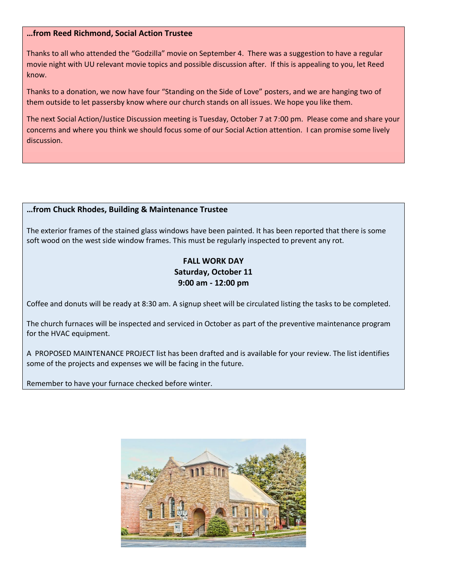#### **…from Reed Richmond, Social Action Trustee**

Thanks to all who attended the "Godzilla" movie on September 4. There was a suggestion to have a regular movie night with UU relevant movie topics and possible discussion after. If this is appealing to you, let Reed know.

Thanks to a donation, we now have four "Standing on the Side of Love" posters, and we are hanging two of them outside to let passersby know where our church stands on all issues. We hope you like them.

The next Social Action/Justice Discussion meeting is Tuesday, October 7 at 7:00 pm. Please come and share your concerns and where you think we should focus some of our Social Action attention. I can promise some lively discussion.

#### **…from Chuck Rhodes, Building & Maintenance Trustee**

The exterior frames of the stained glass windows have been painted. It has been reported that there is some soft wood on the west side window frames. This must be regularly inspected to prevent any rot.

#### **FALL WORK DAY Saturday, October 11 9:00 am - 12:00 pm**

Coffee and donuts will be ready at 8:30 am. A signup sheet will be circulated listing the tasks to be completed.

The church furnaces will be inspected and serviced in October as part of the preventive maintenance program for the HVAC equipment.

A PROPOSED MAINTENANCE PROJECT list has been drafted and is available for your review. The list identifies some of the projects and expenses we will be facing in the future.

Remember to have your furnace checked before winter.

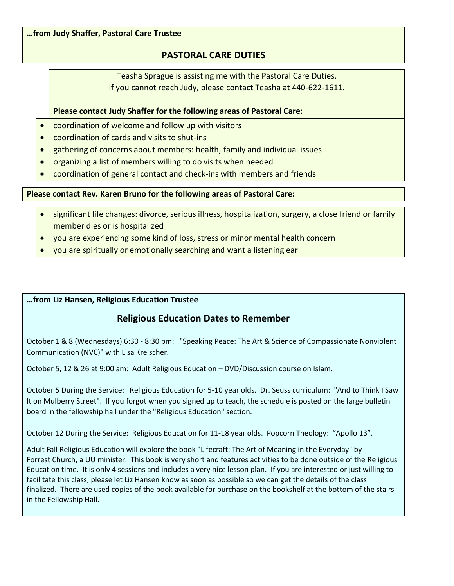#### **…from Judy Shaffer, Pastoral Care Trustee**

#### **PASTORAL CARE DUTIES**

Teasha Sprague is assisting me with the Pastoral Care Duties. If you cannot reach Judy, please contact Teasha at 440-622-1611.

#### **Please contact Judy Shaffer for the following areas of Pastoral Care:**

- coordination of welcome and follow up with visitors
- coordination of cards and visits to shut-ins
- gathering of concerns about members: health, family and individual issues
- organizing a list of members willing to do visits when needed
- coordination of general contact and check-ins with members and friends

#### **Please contact Rev. Karen Bruno for the following areas of Pastoral Care:**

- significant life changes: divorce, serious illness, hospitalization, surgery, a close friend or family member dies or is hospitalized
- you are experiencing some kind of loss, stress or minor mental health concern
- you are spiritually or emotionally searching and want a listening ear

#### **…from Liz Hansen, Religious Education Trustee**

#### **Religious Education Dates to Remember**

October 1 & 8 (Wednesdays) 6:30 - 8:30 pm: "Speaking Peace: The Art & Science of Compassionate Nonviolent Communication (NVC)" with Lisa Kreischer.

October 5, 12 & 26 at 9:00 am: Adult Religious Education – DVD/Discussion course on Islam.

October 5 During the Service: Religious Education for 5-10 year olds. Dr. Seuss curriculum: "And to Think I Saw It on Mulberry Street". If you forgot when you signed up to teach, the schedule is posted on the large bulletin board in the fellowship hall under the "Religious Education" section.

October 12 During the Service: Religious Education for 11-18 year olds. Popcorn Theology: "Apollo 13".

Adult Fall Religious Education will explore the book "Lifecraft: The Art of Meaning in the Everyday" by Forrest Church, a UU minister. This book is very short and features activities to be done outside of the Religious Education time. It is only 4 sessions and includes a very nice lesson plan. If you are interested or just willing to facilitate this class, please let Liz Hansen know as soon as possible so we can get the details of the class finalized. There are used copies of the book available for purchase on the bookshelf at the bottom of the stairs in the Fellowship Hall.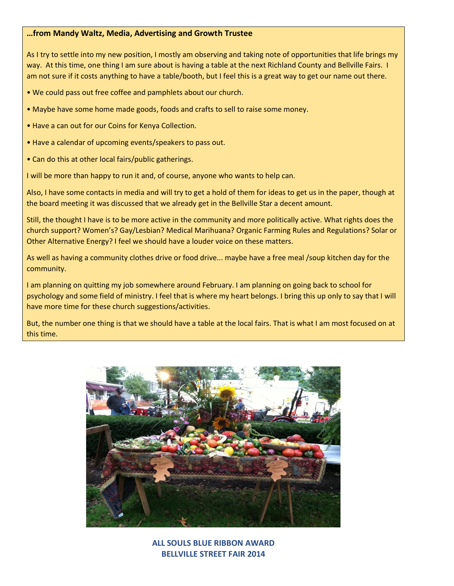#### **…from Mandy Waltz, Media, Advertising and Growth Trustee**

As I try to settle into my new position, I mostly am observing and taking note of opportunities that life brings my way. At this time, one thing I am sure about is having a table at the next Richland County and Bellville Fairs. I am not sure if it costs anything to have a table/booth, but I feel this is a great way to get our name out there.

• We could pass out free coffee and pamphlets about our church.

- Maybe have some home made goods, foods and crafts to sell to raise some money.
- Have a can out for our Coins for Kenya Collection.
- Have a calendar of upcoming events/speakers to pass out.
- Can do this at other local fairs/public gatherings.

I will be more than happy to run it and, of course, anyone who wants to help can.

Also, I have some contacts in media and will try to get a hold of them for ideas to get us in the paper, though at the board meeting it was discussed that we already get in the Bellville Star a decent amount.

Still, the thought I have is to be more active in the community and more politically active. What rights does the church support? Women's? Gay/Lesbian? Medical Marihuana? Organic Farming Rules and Regulations? Solar or Other Alternative Energy? I feel we should have a louder voice on these matters.

As well as having a community clothes drive or food drive... maybe have a free meal /soup kitchen day for the community.

I am planning on quitting my job somewhere around February. I am planning on going back to school for psychology and some field of ministry. I feel that is where my heart belongs. I bring this up only to say that I will have more time for these church suggestions/activities.

But, the number one thing is that we should have a table at the local fairs. That is what I am most focused on at this time.



**ALL SOULS BLUE RIBBON AWARD BELLVILLE STREET FAIR 2014**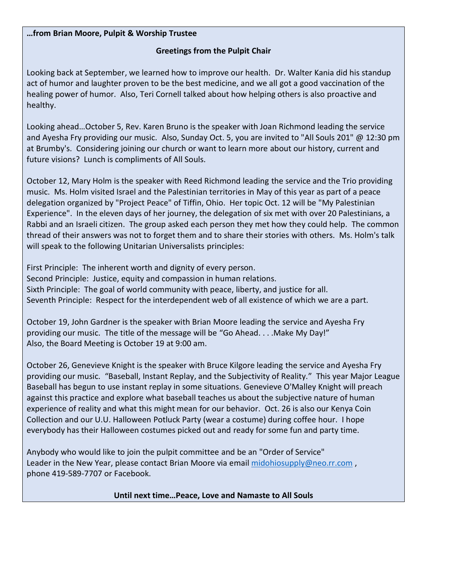#### **…from Brian Moore, Pulpit & Worship Trustee**

#### **Greetings from the Pulpit Chair**

Looking back at September, we learned how to improve our health. Dr. Walter Kania did his standup act of humor and laughter proven to be the best medicine, and we all got a good vaccination of the healing power of humor. Also, Teri Cornell talked about how helping others is also proactive and healthy.

Looking ahead…October 5, Rev. Karen Bruno is the speaker with Joan Richmond leading the service and Ayesha Fry providing our music. Also, Sunday Oct. 5, you are invited to "All Souls 201" @ 12:30 pm at Brumby's. Considering joining our church or want to learn more about our history, current and future visions? Lunch is compliments of All Souls.

October 12, Mary Holm is the speaker with Reed Richmond leading the service and the Trio providing music. Ms. Holm visited Israel and the Palestinian territories in May of this year as part of a peace delegation organized by "Project Peace" of Tiffin, Ohio. Her topic Oct. 12 will be "My Palestinian Experience". In the eleven days of her journey, the delegation of six met with over 20 Palestinians, a Rabbi and an Israeli citizen. The group asked each person they met how they could help. The common thread of their answers was not to forget them and to share their stories with others. Ms. Holm's talk will speak to the following Unitarian Universalists principles:

First Principle: The inherent worth and dignity of every person. Second Principle: Justice, equity and compassion in human relations. Sixth Principle: The goal of world community with peace, liberty, and justice for all. Seventh Principle: Respect for the interdependent web of all existence of which we are a part.

October 19, John Gardner is the speaker with Brian Moore leading the service and Ayesha Fry providing our music. The title of the message will be "Go Ahead. . . .Make My Day!" Also, the Board Meeting is October 19 at 9:00 am.

October 26, Genevieve Knight is the speaker with Bruce Kilgore leading the service and Ayesha Fry providing our music. "Baseball, Instant Replay, and the Subjectivity of Reality." This year Major League Baseball has begun to use instant replay in some situations. Genevieve O'Malley Knight will preach against this practice and explore what baseball teaches us about the subjective nature of human experience of reality and what this might mean for our behavior. Oct. 26 is also our Kenya Coin Collection and our U.U. Halloween Potluck Party (wear a costume) during coffee hour. I hope everybody has their Halloween costumes picked out and ready for some fun and party time.

Anybody who would like to join the pulpit committee and be an "Order of Service" Leader in the New Year, please contact Brian Moore via email [midohiosupply@neo.rr.com](mailto:midohiosupply@neo.rr.com), phone 419-589-7707 or Facebook.

**Until next time…Peace, Love and Namaste to All Souls**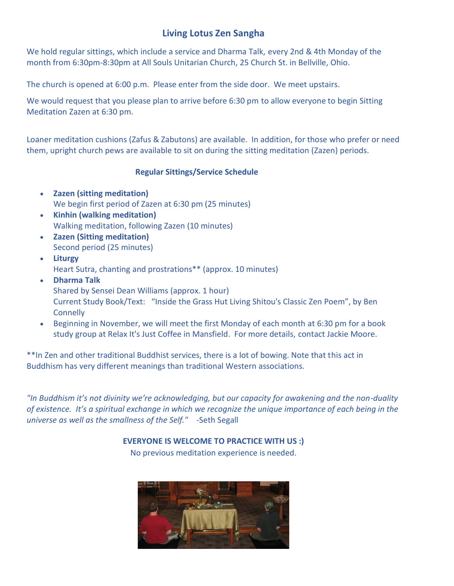#### **Living Lotus Zen Sangha**

We hold regular sittings, which include a service and Dharma Talk, every 2nd & 4th Monday of the month from 6:30pm-8:30pm at [All Souls Unitarian Church, 25 Church St. in Bellville, Ohio.](https://maps.google.com/maps?oe=utf-8&client=firefox-a&q=25+Church+St.+Bellville,+Ohio+44813&ie=UTF-8&hq=&hnear=0x8839c6dbf7dabf5d:0xcb37674b55be39f4,25+Church+St,+Bellville,+OH+44813&gl=us&ei=mUFkUKX0IcS60AHKmoDAAw&ved=0CCEQ8gEwAA)

The church is opened at 6:00 p.m. Please enter from the side door. We meet upstairs*.*

We would request that you please plan to arrive before 6:30 pm to allow everyone to begin [Sitting](https://sites.google.com/site/livinglotuszensangha/how-to-meditate-zazen)  [Meditation](https://sites.google.com/site/livinglotuszensangha/how-to-meditate-zazen) Zazen at 6:30 pm.

Loaner meditation cushions (Zafus & Zabutons) are available. In addition, for those who prefer or need them, upright church pews are available to sit on during the [sitting meditation \(Zazen\)](https://sites.google.com/site/livinglotuszensangha/how-to-meditate-zazen) periods.

#### **Regular Sittings/Service Schedule**

- **Zazen [\(sitting meditation\)](https://sites.google.com/site/livinglotuszensangha/how-to-meditate-zazen)** We begin first period of Zazen at 6:30 pm (25 minutes)
- **[Kinhin \(walking meditation\)](https://sites.google.com/site/livinglotuszensangha/walking-meditation-kinhin)** Walking meditation, following Zazen (10 minutes)
- **Zazen (Sitting meditation)**  Second period (25 minutes)
- **Liturgy**  [Heart Sutra, chanting](https://sites.google.com/site/livinglotuszensangha/chant-book) and prostrations\*\* (approx. 10 minutes)
- **[Dharma Talk](http://jijuyuji.org/dharma-talks/)** Shared by [Sensei Dean Williams](https://sites.google.com/site/livinglotuszensangha/our-lineage-teacher) (approx. 1 hour[\)](https://sites.google.com/site/livinglotuszensangha/study-texts) [Current Study Book/Text](https://sites.google.com/site/livinglotuszensangha/study-texts): "Inside the Grass Hut Living Shitou's Classic Zen Poem", by Ben **Connelly**
- Beginning in November, we will meet the first Monday of each month at 6:30 pm for a book study group at Relax It's Just Coffee in Mansfield. For more details, contact Jackie Moore.

\*\*In Zen and other traditional Buddhist services, there is a lot of bowing. Note that this act in Buddhism has very different meanings than traditional Western associations.

*"In Buddhism it's not divinity we're acknowledging, but our capacity for awakening and the non-duality of existence. It's a spiritual exchange in which we recognize the unique importance of each being in the universe as well as the smallness of the Self."* -Seth Segall

**EVERYONE IS WELCOME TO PRACTICE WITH US :)**

No previous meditation experience is needed.